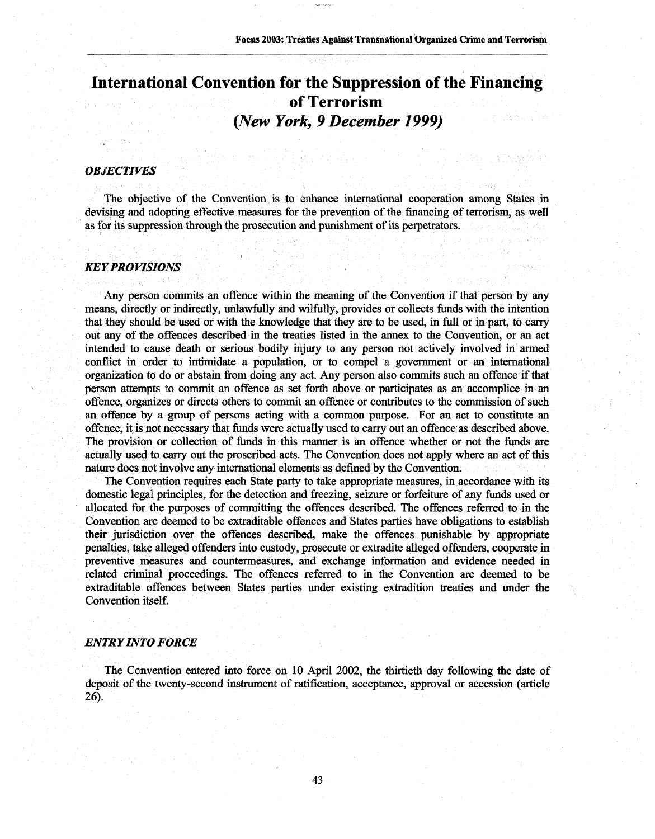# **International Convention for the Suppression of the Financing of Terrorism** *(New York, 9December 1999)*

## *OBJECTIVES*

The objective of the Convention is to enhance international cooperation among States in devising and adopting effective measures for the prevention of the financing of terrorism, as well as for its suppression through the prosecution and punishment of its perpetrators.

## *KEYPROVISIONS*

Any person commits an offence within the meaning of the Convention if that person by any means, directly or indirectly, unlawfully and wilfully, provides or collects funds with the intention that they should be used or with the knowledge that they are to be used, in full or in part, to carry out any of the offences described in the treaties listed in the annex to the Convention, or an act intended to cause death or serious bodily injury to any person not actively involved in armed conflict in order to intimidate a population, or to compel a government or an international organization to do or abstain from doing any act. Any person also commits such an offence if that person attempts to commit an offence as set forth above or participates as an accomplice in an offence, organizes or directs others to commit an offence or contributes to the commission of such an offence by a group of persons acting with a common purpose. For an act to constitute an offence, it is not necessary that funds were actually used to carry out an offence as described above. The provision or collection of funds in this manner is an offence whether or not the funds are actually used to carry out the proscribed acts. The Convention does not apply where an act of this nature does not involve any international elements as defined by the Convention.

The Convention requires each State party to take appropriate measures, in accordance with its domestic legal principles, for the detection and freezing, seizure or forfeiture of any funds used or allocated for the purposes of committing the offences described. The offences referred to in the Convention are deemed to be extraditable offences and States parties have obligations to establish their jurisdiction over the offences described, make the offences punishable by appropriate penalties, take alleged offenders into custody, prosecute or extradite alleged offenders, cooperate in preventive measures and countermeasures, and exchange information and evidence needed in related criminal proceedings. The offences referred to in the Convention are deemed to be extraditable offences between States parties under existing extradition treaties and under the Convention itself.

### *ENTRY INTO FORCE*

The Convention entered into force on 10 April 2002, the thirtieth day following the date of deposit of the twenty-second instrument of ratification, acceptance, approval or accession (article 26).